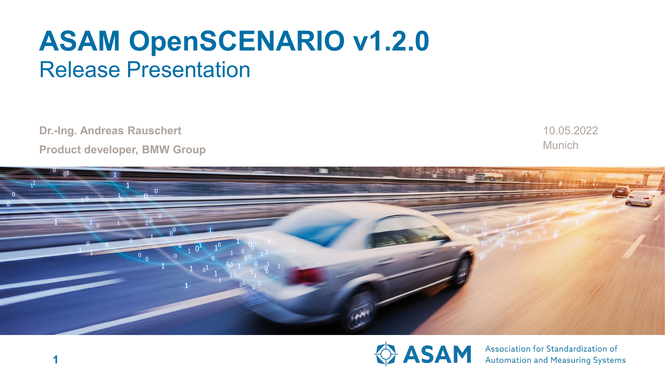# **ASAM OpenSCENARIO v1.2.0** Release Presentation

**Dr.-Ing. Andreas Rauschert Product developer, BMW Group** **Munich** 10.05.2022





Association for Standardization of **Automation and Measuring Systems**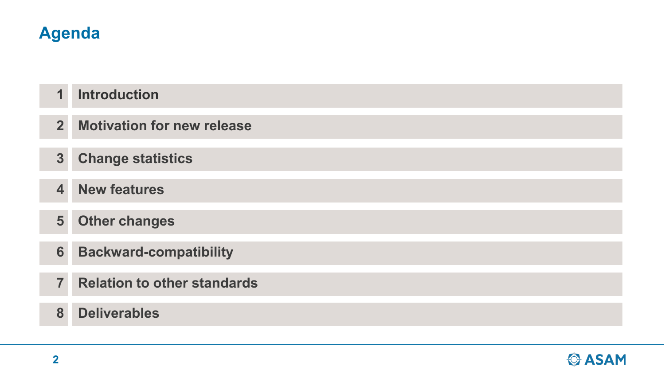# **Agenda**

#### **Introduction 1**

- **Motivation for new release 2**
- **3 Change statistics**
- **New features 4**
- **Other changes 5**
- **Backward-compatibility 6**
- **7 Relation to other standards**
- **8 Deliverables**

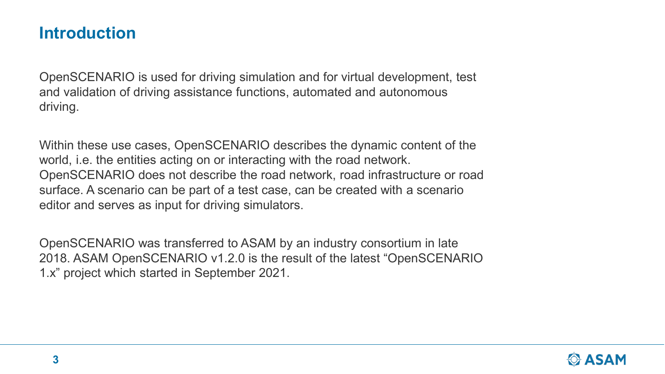# **Introduction**

OpenSCENARIO is used for driving simulation and for virtual development, test and validation of driving assistance functions, automated and autonomous driving.

Within these use cases, OpenSCENARIO describes the dynamic content of the world, i.e. the entities acting on or interacting with the road network. OpenSCENARIO does not describe the road network, road infrastructure or road surface. A scenario can be part of a test case, can be created with a scenario editor and serves as input for driving simulators.

OpenSCENARIO was transferred to ASAM by an industry consortium in late 2018. ASAM OpenSCENARIO v1.2.0 is the result of the latest "OpenSCENARIO 1.x" project which started in September 2021.

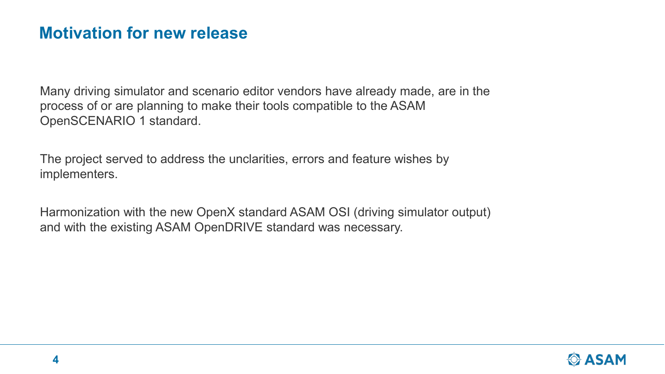# **Motivation for new release**

Many driving simulator and scenario editor vendors have already made, are in the process of or are planning to make their tools compatible to the ASAM OpenSCENARIO 1 standard.

The project served to address the unclarities, errors and feature wishes by implementers.

Harmonization with the new OpenX standard ASAM OSI (driving simulator output) and with the existing ASAM OpenDRIVE standard was necessary.

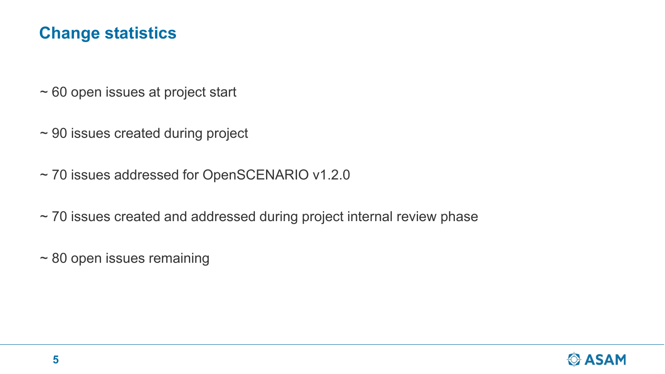# **Change statistics**

- ~ 60 open issues at project start
- ~ 90 issues created during project
- ~ 70 issues addressed for OpenSCENARIO v1.2.0
- ~ 70 issues created and addressed during project internal review phase
- ~ 80 open issues remaining

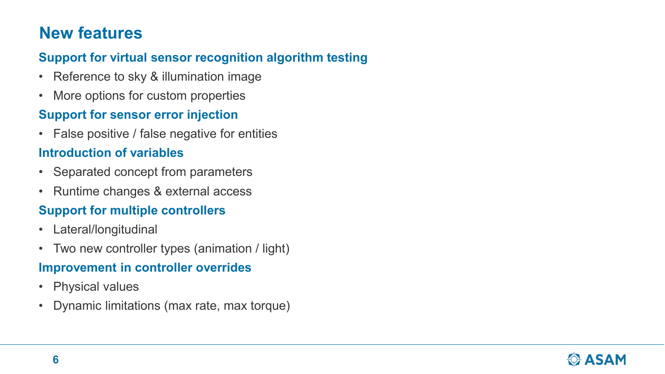# **New features**

#### **Support for virtual sensor recognition algorithm testing**

- Reference to sky & illumination image
- More options for custom properties

#### **Support for sensor error injection**

• False positive / false negative for entities

#### **Introduction of variables**

- Separated concept from parameters
- Runtime changes & external access

#### **Support for multiple controllers**

- Lateral/longitudinal
- Two new controller types (animation / light)

#### **Improvement in controller overrides**

- Physical values
- Dynamic limitations (max rate, max torque)

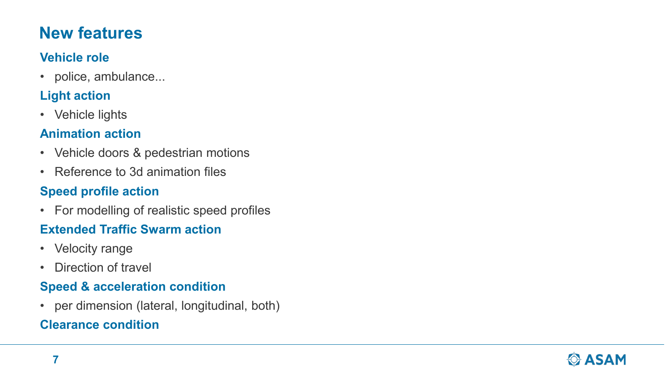# **New features**

#### **Vehicle role**

• police, ambulance...

### **Light action**

• Vehicle lights

#### **Animation action**

- Vehicle doors & pedestrian motions
- Reference to 3d animation files

#### **Speed profile action**

• For modelling of realistic speed profiles

#### **Extended Traffic Swarm action**

- Velocity range
- Direction of travel

#### **Speed & acceleration condition**

• per dimension (lateral, longitudinal, both)

#### **Clearance condition**

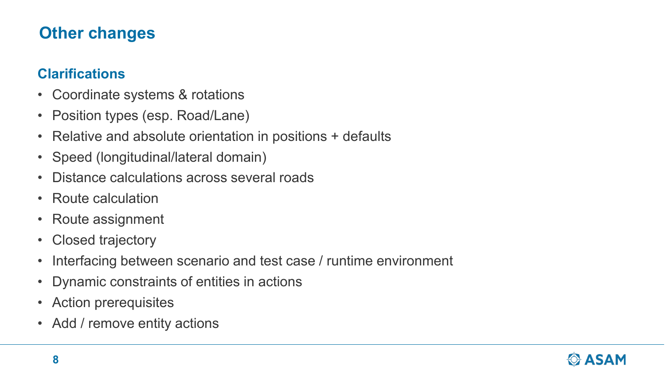# **Other changes**

#### **Clarifications**

- Coordinate systems & rotations
- Position types (esp. Road/Lane)
- Relative and absolute orientation in positions + defaults
- Speed (longitudinal/lateral domain)
- Distance calculations across several roads
- Route calculation
- Route assignment
- Closed trajectory
- Interfacing between scenario and test case / runtime environment
- Dynamic constraints of entities in actions
- Action prerequisites
- Add / remove entity actions

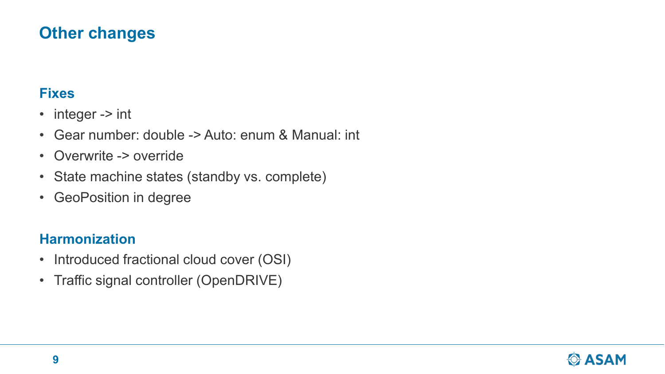# **Other changes**

#### **Fixes**

- integer -> int
- Gear number: double -> Auto: enum & Manual: int
- Overwrite -> override
- State machine states (standby vs. complete)
- GeoPosition in degree

#### **Harmonization**

- Introduced fractional cloud cover (OSI)
- Traffic signal controller (OpenDRIVE)

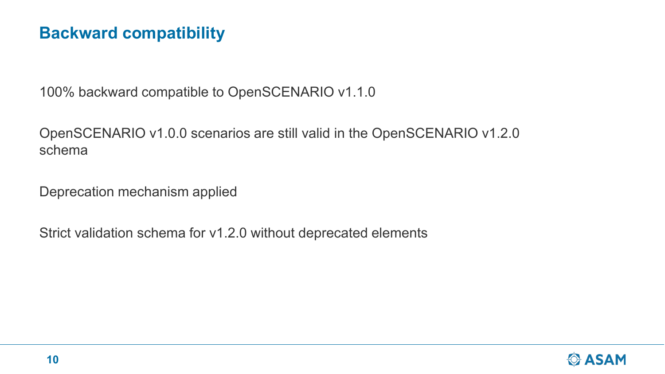# **Backward compatibility**

100% backward compatible to OpenSCENARIO v1.1.0

OpenSCENARIO v1.0.0 scenarios are still valid in the OpenSCENARIO v1.2.0 schema

Deprecation mechanism applied

Strict validation schema for v1.2.0 without deprecated elements

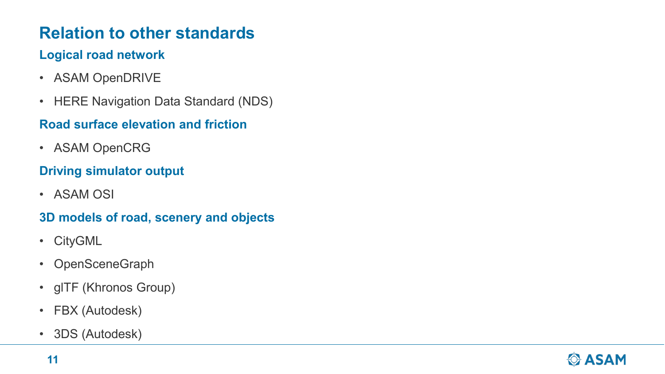# **Relation to other standards**

#### **Logical road network**

- ASAM OpenDRIVE
- HERE Navigation Data Standard (NDS)

#### **Road surface elevation and friction**

• ASAM OpenCRG

#### **Driving simulator output**

• ASAM OSI

#### **3D models of road, scenery and objects**

- CityGML
- OpenSceneGraph
- glTF (Khronos Group)
- FBX (Autodesk)
- 3DS (Autodesk)